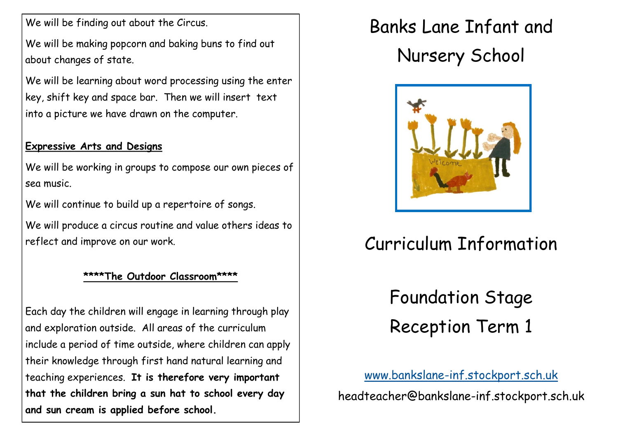We will be finding out about the Circus.

We will be making popcorn and baking buns to find out about changes of state.

We will be learning about word processing using the enter key, shift key and space bar. Then we will insert text into a picture we have drawn on the computer.

#### **Expressive Arts and Designs**

We will be working in groups to compose our own pieces of sea music.

We will continue to build up a repertoire of songs.

We will produce a circus routine and value others ideas to reflect and improve on our work.

#### **\*\*\*\*The Outdoor Classroom\*\*\*\***

Each day the children will engage in learning through play and exploration outside. All areas of the curriculum include a period of time outside, where children can apply their knowledge through first hand natural learning and teaching experiences. **It is therefore very important that the children bring a sun hat to school every day and sun cream is applied before school.**

# Banks Lane Infant and Nursery School



## Curriculum Information

# Foundation Stage Reception Term 1

[www.bankslane-inf.stockport.sch.uk](http://www.bankslane-inf.stockport.sch.uk) headteacher@bankslane-inf.stockport.sch.uk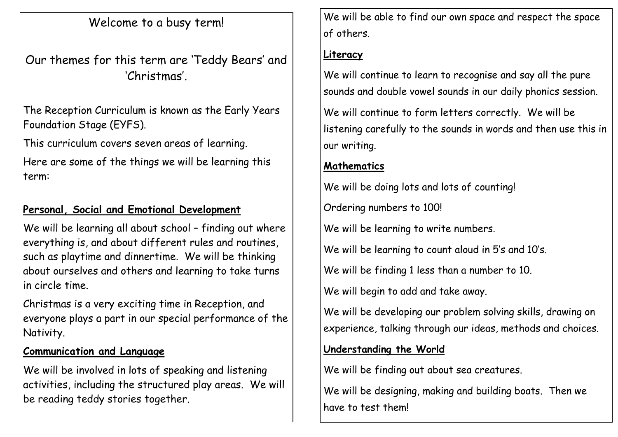Welcome to a busy term!

Our themes for this term are 'Teddy Bears' and 'Christmas'.

The Reception Curriculum is known as the Early Years Foundation Stage (EYFS).

This curriculum covers seven areas of learning.

Here are some of the things we will be learning this term:

### **Personal, Social and Emotional Development**

We will be learning all about school - finding out where everything is, and about different rules and routines, such as playtime and dinnertime. We will be thinking about ourselves and others and learning to take turns in circle time.

Christmas is a very exciting time in Reception, and everyone plays a part in our special performance of the Nativity.

### **Communication and Language**

We will be involved in lots of speaking and listening activities, including the structured play areas. We will be reading teddy stories together.

We will be able to find our own space and respect the space of others.

#### **Literacy**

We will continue to learn to recognise and say all the pure sounds and double vowel sounds in our daily phonics session.

We will continue to form letters correctly. We will be listening carefully to the sounds in words and then use this in our writing.

### **Mathematics**

We will be doing lots and lots of counting!

Ordering numbers to 100!

We will be learning to write numbers.

We will be learning to count aloud in 5's and 10's.

We will be finding 1 less than a number to 10.

We will begin to add and take away.

We will be developing our problem solving skills, drawing on experience, talking through our ideas, methods and choices.

### **Understanding the World**

We will be finding out about sea creatures.

We will be designing, making and building boats. Then we have to test them!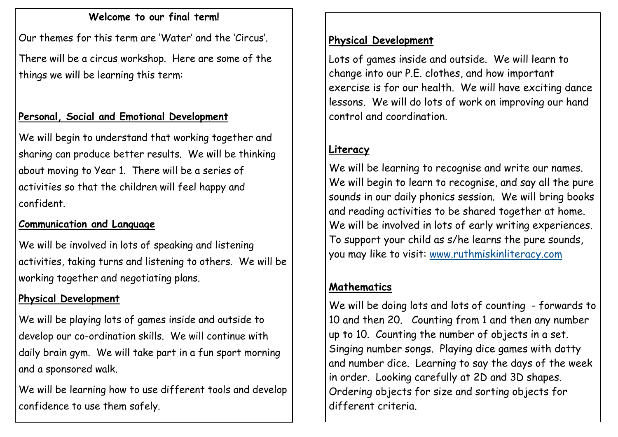#### **Welcome to our final term!**

Our themes for this term are 'Water' and the 'Circus'.

There will be a circus workshop. Here are some of the things we will be learning this term:

### **Personal, Social and Emotional Development**

We will begin to understand that working together and sharing can produce better results. We will be thinking about moving to Year 1. There will be a series of activities so that the children will feel happy and confident.

#### **Communication and Language**

We will be involved in lots of speaking and listening activities, taking turns and listening to others. We will be working together and negotiating plans.

### **Physical Development**

We will be playing lots of games inside and outside to develop our co-ordination skills. We will continue with daily brain gym. We will take part in a fun sport morning and a sponsored walk.

We will be learning how to use different tools and develop confidence to use them safely.

#### **Physical Development**

Lots of games inside and outside. We will learn to change into our P.E. clothes, and how important exercise is for our health. We will have exciting dance lessons. We will do lots of work on improving our hand control and coordination.

### **Literacy**

We will be learning to recognise and write our names. We will begin to learn to recognise, and say all the pure sounds in our daily phonics session. We will bring books and reading activities to be shared together at home. We will be involved in lots of early writing experiences. To support your child as s/he learns the pure sounds, you may like to visit: [www.ruthmiskinliteracy.com](http://www.ruthmiskinliteracy.com)

### **Mathematics**

We will be doing lots and lots of counting - forwards to 10 and then 20. Counting from 1 and then any number up to 10. Counting the number of objects in a set. Singing number songs. Playing dice games with dotty and number dice. Learning to say the days of the week in order. Looking carefully at 2D and 3D shapes. Ordering objects for size and sorting objects for different criteria.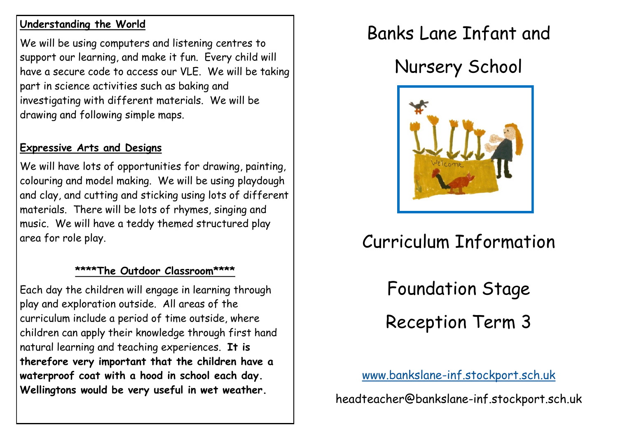#### **Understanding the World**

We will be using computers and listening centres to support our learning, and make it fun. Every child will have a secure code to access our VLE. We will be taking part in science activities such as baking and investigating with different materials. We will be drawing and following simple maps.

### **Expressive Arts and Designs**

We will have lots of opportunities for drawing, painting, colouring and model making. We will be using playdough and clay, and cutting and sticking using lots of different materials. There will be lots of rhymes, singing and music. We will have a teddy themed structured play area for role play.

#### **\*\*\*\*The Outdoor Classroom\*\*\*\***

Each day the children will engage in learning through play and exploration outside. All areas of the curriculum include a period of time outside, where children can apply their knowledge through first hand natural learning and teaching experiences. **It is therefore very important that the children have a waterproof coat with a hood in school each day. Wellingtons would be very useful in wet weather.**

# Banks Lane Infant and

## Nursery School



# Curriculum Information

# Foundation Stage

Reception Term 3

[www.bankslane-inf.stockport.sch.uk](http://www.bankslane-inf.stockport.sch.uk) headteacher@bankslane-inf.stockport.sch.uk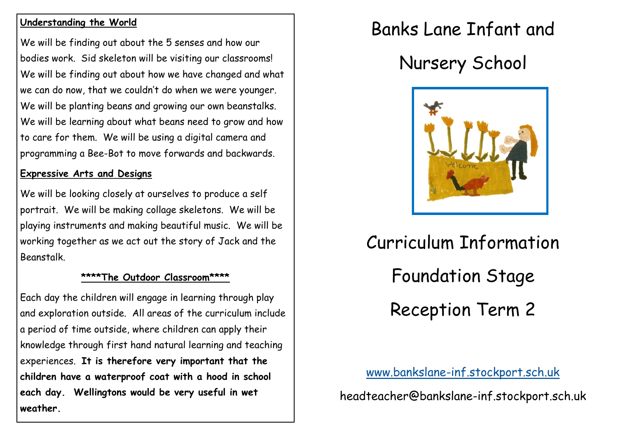#### **Understanding the World**

We will be finding out about the 5 senses and how our bodies work. Sid skeleton will be visiting our classrooms! We will be finding out about how we have changed and what we can do now, that we couldn't do when we were younger. We will be planting beans and growing our own beanstalks. We will be learning about what beans need to grow and how to care for them. We will be using a digital camera and programming a Bee-Bot to move forwards and backwards.

#### **Expressive Arts and Designs**

We will be looking closely at ourselves to produce a self portrait. We will be making collage skeletons. We will be playing instruments and making beautiful music. We will be working together as we act out the story of Jack and the Beanstalk.

#### **\*\*\*\*The Outdoor Classroom\*\*\*\***

Each day the children will engage in learning through play and exploration outside. All areas of the curriculum include a period of time outside, where children can apply their knowledge through first hand natural learning and teaching experiences. **It is therefore very important that the children have a waterproof coat with a hood in school each day. Wellingtons would be very useful in wet weather.**

# Banks Lane Infant and

Nursery School



# Curriculum Information Foundation Stage Reception Term 2

[www.bankslane-inf.stockport.sch.uk](http://www.bankslane-inf.stockport.sch.uk) headteacher@bankslane-inf.stockport.sch.uk